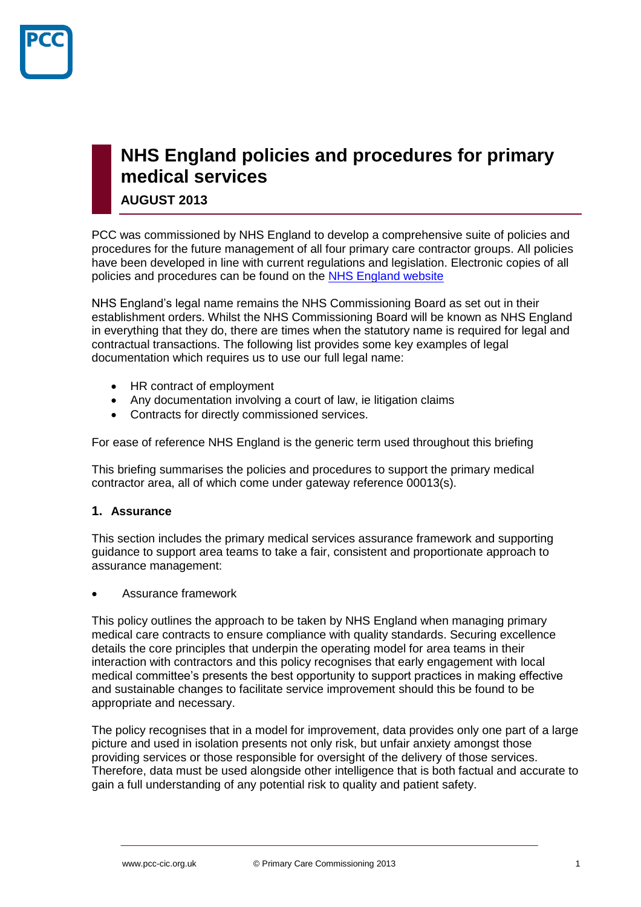

# **NHS England policies and procedures for primary medical services**

**AUGUST 2013**

PCC was commissioned by NHS England to develop a comprehensive suite of policies and procedures for the future management of all four primary care contractor groups. All policies have been developed in line with current regulations and legislation. Electronic copies of all policies and procedures can be found on the [NHS England website](http://www.england.nhs.uk/ourwork/d-com/primary-care-comm/)

NHS England's legal name remains the NHS Commissioning Board as set out in their establishment orders. Whilst the NHS Commissioning Board will be known as NHS England in everything that they do, there are times when the statutory name is required for legal and contractual transactions. The following list provides some key examples of legal documentation which requires us to use our full legal name:

- HR contract of employment
- Any documentation involving a court of law, ie litigation claims
- Contracts for directly commissioned services.

For ease of reference NHS England is the generic term used throughout this briefing

This briefing summarises the policies and procedures to support the primary medical contractor area, all of which come under gateway reference 00013(s).

## **1. Assurance**

This section includes the primary medical services assurance framework and supporting guidance to support area teams to take a fair, consistent and proportionate approach to assurance management:

Assurance framework

This policy outlines the approach to be taken by NHS England when managing primary medical care contracts to ensure compliance with quality standards. Securing excellence details the core principles that underpin the operating model for area teams in their interaction with contractors and this policy recognises that early engagement with local medical committee's presents the best opportunity to support practices in making effective and sustainable changes to facilitate service improvement should this be found to be appropriate and necessary.

The policy recognises that in a model for improvement, data provides only one part of a large picture and used in isolation presents not only risk, but unfair anxiety amongst those providing services or those responsible for oversight of the delivery of those services. Therefore, data must be used alongside other intelligence that is both factual and accurate to gain a full understanding of any potential risk to quality and patient safety.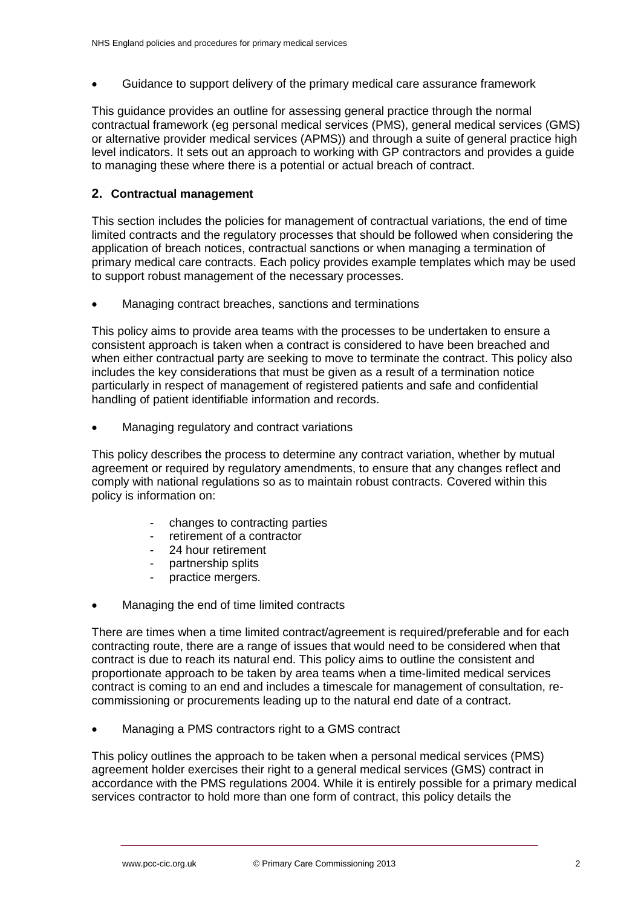Guidance to support delivery of the primary medical care assurance framework

This guidance provides an outline for assessing general practice through the normal contractual framework (eg personal medical services (PMS), general medical services (GMS) or alternative provider medical services (APMS)) and through a suite of general practice high level indicators. It sets out an approach to working with GP contractors and provides a guide to managing these where there is a potential or actual breach of contract.

# **2. Contractual management**

This section includes the policies for management of contractual variations, the end of time limited contracts and the regulatory processes that should be followed when considering the application of breach notices, contractual sanctions or when managing a termination of primary medical care contracts. Each policy provides example templates which may be used to support robust management of the necessary processes.

Managing contract breaches, sanctions and terminations

This policy aims to provide area teams with the processes to be undertaken to ensure a consistent approach is taken when a contract is considered to have been breached and when either contractual party are seeking to move to terminate the contract. This policy also includes the key considerations that must be given as a result of a termination notice particularly in respect of management of registered patients and safe and confidential handling of patient identifiable information and records.

Managing regulatory and contract variations

This policy describes the process to determine any contract variation, whether by mutual agreement or required by regulatory amendments, to ensure that any changes reflect and comply with national regulations so as to maintain robust contracts. Covered within this policy is information on:

- changes to contracting parties
- retirement of a contractor
- 
- 24 hour retirement<br>- partnership splits partnership splits
- practice mergers.
- Managing the end of time limited contracts

There are times when a time limited contract/agreement is required/preferable and for each contracting route, there are a range of issues that would need to be considered when that contract is due to reach its natural end. This policy aims to outline the consistent and proportionate approach to be taken by area teams when a time-limited medical services contract is coming to an end and includes a timescale for management of consultation, recommissioning or procurements leading up to the natural end date of a contract.

Managing a PMS contractors right to a GMS contract

This policy outlines the approach to be taken when a personal medical services (PMS) agreement holder exercises their right to a general medical services (GMS) contract in accordance with the PMS regulations 2004. While it is entirely possible for a primary medical services contractor to hold more than one form of contract, this policy details the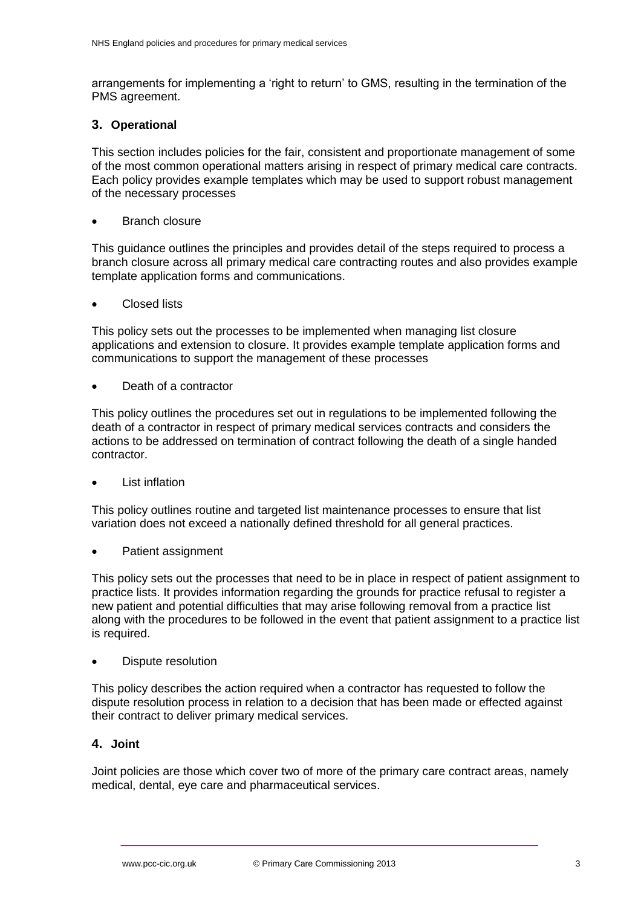arrangements for implementing a 'right to return' to GMS, resulting in the termination of the PMS agreement.

### **3. Operational**

This section includes policies for the fair, consistent and proportionate management of some of the most common operational matters arising in respect of primary medical care contracts. Each policy provides example templates which may be used to support robust management of the necessary processes

Branch closure

This guidance outlines the principles and provides detail of the steps required to process a branch closure across all primary medical care contracting routes and also provides example template application forms and communications.

Closed lists

This policy sets out the processes to be implemented when managing list closure applications and extension to closure. It provides example template application forms and communications to support the management of these processes

Death of a contractor

This policy outlines the procedures set out in regulations to be implemented following the death of a contractor in respect of primary medical services contracts and considers the actions to be addressed on termination of contract following the death of a single handed contractor.

List inflation

This policy outlines routine and targeted list maintenance processes to ensure that list variation does not exceed a nationally defined threshold for all general practices.

Patient assignment

This policy sets out the processes that need to be in place in respect of patient assignment to practice lists. It provides information regarding the grounds for practice refusal to register a new patient and potential difficulties that may arise following removal from a practice list along with the procedures to be followed in the event that patient assignment to a practice list is required.

Dispute resolution

This policy describes the action required when a contractor has requested to follow the dispute resolution process in relation to a decision that has been made or effected against their contract to deliver primary medical services.

## **4. Joint**

Joint policies are those which cover two of more of the primary care contract areas, namely medical, dental, eye care and pharmaceutical services.